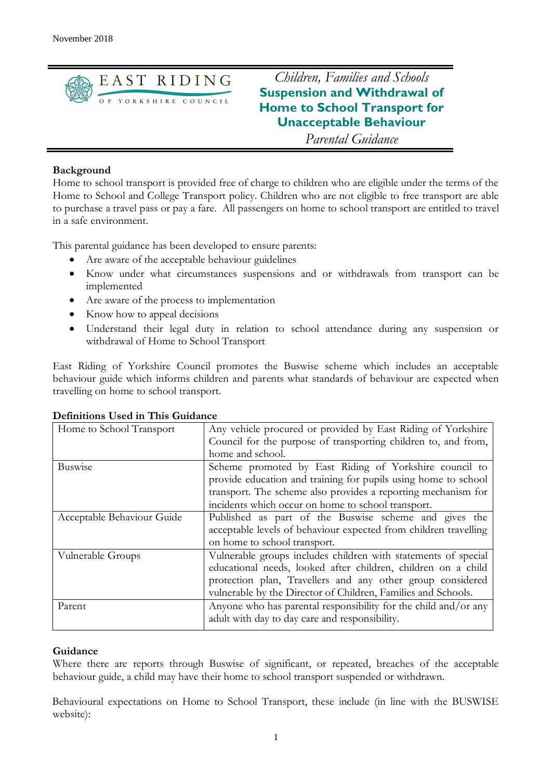

*Children, Families and Schools* **Suspension and Withdrawal of Home to School Transport for Unacceptable Behaviour** 

*Parental Guidance*

# **Background**

Home to school transport is provided free of charge to children who are eligible under the terms of the Home to School and College Transport policy. Children who are not eligible to free transport are able to purchase a travel pass or pay a fare. All passengers on home to school transport are entitled to travel in a safe environment.

This parental guidance has been developed to ensure parents:

- Are aware of the acceptable behaviour guidelines
- Know under what circumstances suspensions and or withdrawals from transport can be implemented
- Are aware of the process to implementation
- Know how to appeal decisions
- Understand their legal duty in relation to school attendance during any suspension or withdrawal of Home to School Transport

East Riding of Yorkshire Council promotes the Buswise scheme which includes an acceptable behaviour guide which informs children and parents what standards of behaviour are expected when travelling on home to school transport.

| Home to School Transport   | Any vehicle procured or provided by East Riding of Yorkshire     |
|----------------------------|------------------------------------------------------------------|
|                            | Council for the purpose of transporting children to, and from,   |
|                            | home and school.                                                 |
| <b>Buswise</b>             | Scheme promoted by East Riding of Yorkshire council to           |
|                            | provide education and training for pupils using home to school   |
|                            | transport. The scheme also provides a reporting mechanism for    |
|                            | incidents which occur on home to school transport.               |
| Acceptable Behaviour Guide | Published as part of the Buswise scheme and gives the            |
|                            | acceptable levels of behaviour expected from children travelling |
|                            | on home to school transport.                                     |
| Vulnerable Groups          | Vulnerable groups includes children with statements of special   |
|                            | educational needs, looked after children, children on a child    |
|                            | protection plan, Travellers and any other group considered       |
|                            | vulnerable by the Director of Children, Families and Schools.    |
| Parent                     | Anyone who has parental responsibility for the child and/or any  |
|                            | adult with day to day care and responsibility.                   |
|                            |                                                                  |

## **Definitions Used in This Guidance**

## **Guidance**

Where there are reports through Buswise of significant, or repeated, breaches of the acceptable behaviour guide, a child may have their home to school transport suspended or withdrawn.

Behavioural expectations on Home to School Transport, these include (in line with the BUSWISE website):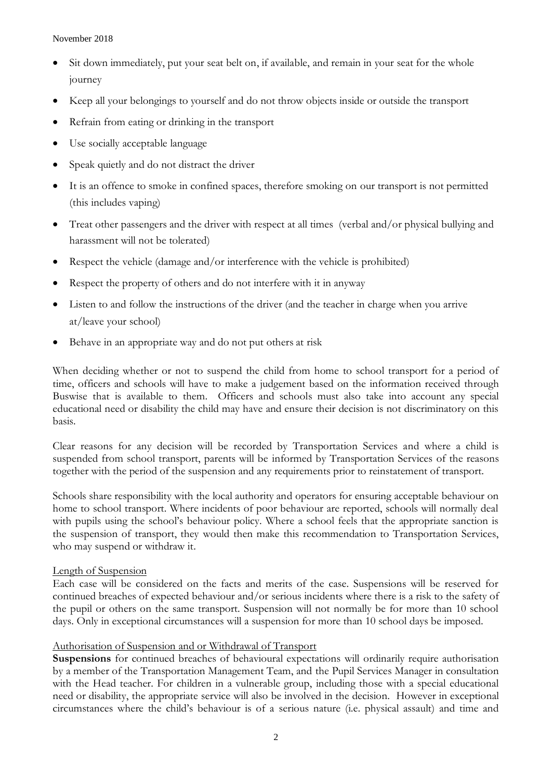November 2018

- Sit down immediately, put your seat belt on, if available, and remain in your seat for the whole journey
- Keep all your belongings to yourself and do not throw objects inside or outside the transport
- Refrain from eating or drinking in the transport
- Use socially acceptable language
- Speak quietly and do not distract the driver
- It is an offence to smoke in confined spaces, therefore smoking on our transport is not permitted (this includes vaping)
- Treat other passengers and the driver with respect at all times (verbal and/or physical bullying and harassment will not be tolerated)
- Respect the vehicle (damage and/or interference with the vehicle is prohibited)
- Respect the property of others and do not interfere with it in anyway
- Listen to and follow the instructions of the driver (and the teacher in charge when you arrive at/leave your school)
- Behave in an appropriate way and do not put others at risk

When deciding whether or not to suspend the child from home to school transport for a period of time, officers and schools will have to make a judgement based on the information received through Buswise that is available to them. Officers and schools must also take into account any special educational need or disability the child may have and ensure their decision is not discriminatory on this basis.

Clear reasons for any decision will be recorded by Transportation Services and where a child is suspended from school transport, parents will be informed by Transportation Services of the reasons together with the period of the suspension and any requirements prior to reinstatement of transport.

Schools share responsibility with the local authority and operators for ensuring acceptable behaviour on home to school transport. Where incidents of poor behaviour are reported, schools will normally deal with pupils using the school's behaviour policy. Where a school feels that the appropriate sanction is the suspension of transport, they would then make this recommendation to Transportation Services, who may suspend or withdraw it.

## Length of Suspension

Each case will be considered on the facts and merits of the case. Suspensions will be reserved for continued breaches of expected behaviour and/or serious incidents where there is a risk to the safety of the pupil or others on the same transport. Suspension will not normally be for more than 10 school days. Only in exceptional circumstances will a suspension for more than 10 school days be imposed.

## Authorisation of Suspension and or Withdrawal of Transport

**Suspensions** for continued breaches of behavioural expectations will ordinarily require authorisation by a member of the Transportation Management Team, and the Pupil Services Manager in consultation with the Head teacher. For children in a vulnerable group, including those with a special educational need or disability, the appropriate service will also be involved in the decision. However in exceptional circumstances where the child's behaviour is of a serious nature (i.e. physical assault) and time and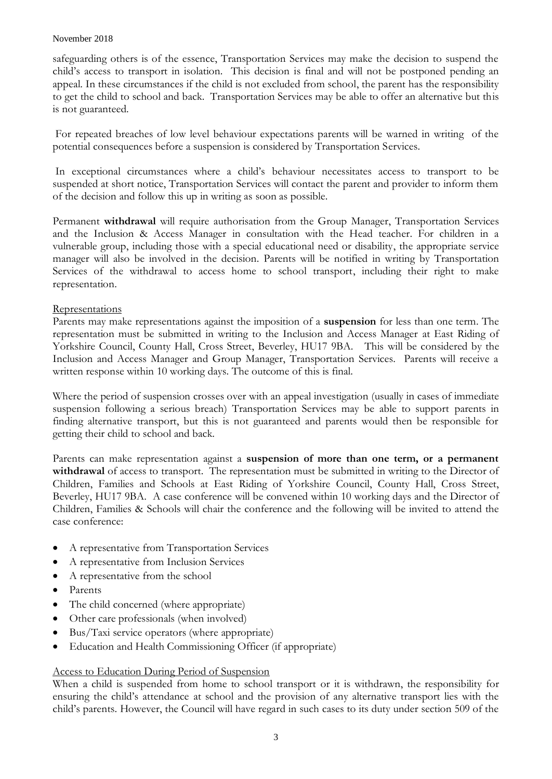### November 2018

safeguarding others is of the essence, Transportation Services may make the decision to suspend the child's access to transport in isolation. This decision is final and will not be postponed pending an appeal. In these circumstances if the child is not excluded from school, the parent has the responsibility to get the child to school and back. Transportation Services may be able to offer an alternative but this is not guaranteed.

For repeated breaches of low level behaviour expectations parents will be warned in writing of the potential consequences before a suspension is considered by Transportation Services.

In exceptional circumstances where a child's behaviour necessitates access to transport to be suspended at short notice, Transportation Services will contact the parent and provider to inform them of the decision and follow this up in writing as soon as possible.

Permanent **withdrawal** will require authorisation from the Group Manager, Transportation Services and the Inclusion & Access Manager in consultation with the Head teacher. For children in a vulnerable group, including those with a special educational need or disability, the appropriate service manager will also be involved in the decision. Parents will be notified in writing by Transportation Services of the withdrawal to access home to school transport, including their right to make representation.

## **Representations**

Parents may make representations against the imposition of a **suspension** for less than one term. The representation must be submitted in writing to the Inclusion and Access Manager at East Riding of Yorkshire Council, County Hall, Cross Street, Beverley, HU17 9BA. This will be considered by the Inclusion and Access Manager and Group Manager, Transportation Services. Parents will receive a written response within 10 working days. The outcome of this is final.

Where the period of suspension crosses over with an appeal investigation (usually in cases of immediate suspension following a serious breach) Transportation Services may be able to support parents in finding alternative transport, but this is not guaranteed and parents would then be responsible for getting their child to school and back.

Parents can make representation against a **suspension of more than one term, or a permanent withdrawal** of access to transport. The representation must be submitted in writing to the Director of Children, Families and Schools at East Riding of Yorkshire Council, County Hall, Cross Street, Beverley, HU17 9BA. A case conference will be convened within 10 working days and the Director of Children, Families & Schools will chair the conference and the following will be invited to attend the case conference:

- A representative from Transportation Services
- A representative from Inclusion Services
- A representative from the school
- Parents
- The child concerned (where appropriate)
- Other care professionals (when involved)
- Bus/Taxi service operators (where appropriate)
- Education and Health Commissioning Officer (if appropriate)

## Access to Education During Period of Suspension

When a child is suspended from home to school transport or it is withdrawn, the responsibility for ensuring the child's attendance at school and the provision of any alternative transport lies with the child's parents. However, the Council will have regard in such cases to its duty under section 509 of the